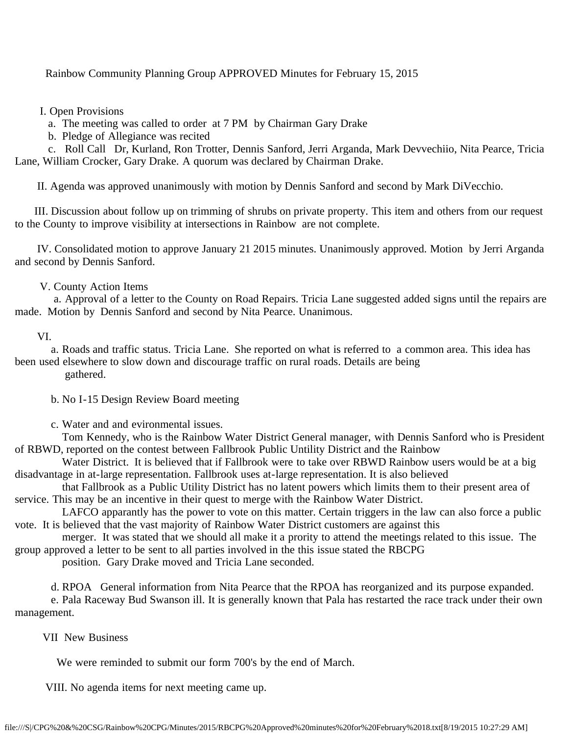Rainbow Community Planning Group APPROVED Minutes for February 15, 2015

I. Open Provisions

a. The meeting was called to order at 7 PM by Chairman Gary Drake

b. Pledge of Allegiance was recited

 c. Roll Call Dr, Kurland, Ron Trotter, Dennis Sanford, Jerri Arganda, Mark Devvechiio, Nita Pearce, Tricia Lane, William Crocker, Gary Drake. A quorum was declared by Chairman Drake.

II. Agenda was approved unanimously with motion by Dennis Sanford and second by Mark DiVecchio.

 III. Discussion about follow up on trimming of shrubs on private property. This item and others from our request to the County to improve visibility at intersections in Rainbow are not complete.

 IV. Consolidated motion to approve January 21 2015 minutes. Unanimously approved. Motion by Jerri Arganda and second by Dennis Sanford.

## V. County Action Items

 a. Approval of a letter to the County on Road Repairs. Tricia Lane suggested added signs until the repairs are made. Motion by Dennis Sanford and second by Nita Pearce. Unanimous.

## VI.

 a. Roads and traffic status. Tricia Lane. She reported on what is referred to a common area. This idea has been used elsewhere to slow down and discourage traffic on rural roads. Details are being gathered.

b. No I-15 Design Review Board meeting

c. Water and and evironmental issues.

 Tom Kennedy, who is the Rainbow Water District General manager, with Dennis Sanford who is President of RBWD, reported on the contest between Fallbrook Public Untility District and the Rainbow

 Water District. It is believed that if Fallbrook were to take over RBWD Rainbow users would be at a big disadvantage in at-large representation. Fallbrook uses at-large representation. It is also believed

 that Fallbrook as a Public Utility District has no latent powers which limits them to their present area of service. This may be an incentive in their quest to merge with the Rainbow Water District.

 LAFCO apparantly has the power to vote on this matter. Certain triggers in the law can also force a public vote. It is believed that the vast majority of Rainbow Water District customers are against this

 merger. It was stated that we should all make it a prority to attend the meetings related to this issue. The group approved a letter to be sent to all parties involved in the this issue stated the RBCPG

position. Gary Drake moved and Tricia Lane seconded.

d. RPOA General information from Nita Pearce that the RPOA has reorganized and its purpose expanded.

 e. Pala Raceway Bud Swanson ill. It is generally known that Pala has restarted the race track under their own management.

## VII New Business

We were reminded to submit our form 700's by the end of March.

VIII. No agenda items for next meeting came up.